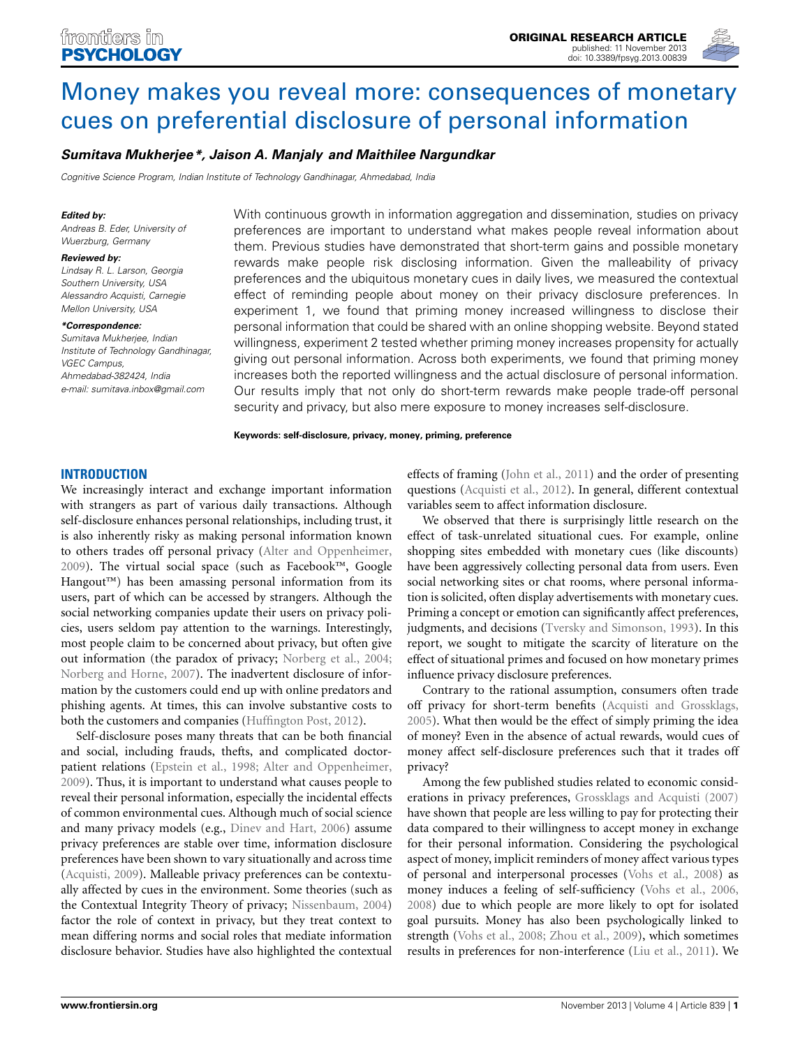

# Money makes you reveal more: consequences of monetary cues on preferential disclosure of personal information

## *Sumitava Mukherjee\*, Jaison A. Manjaly and Maithilee Nargundkar*

*Cognitive Science Program, Indian Institute of Technology Gandhinagar, Ahmedabad, India*

#### *Edited by:*

*Andreas B. Eder, University of Wuerzburg, Germany*

#### *Reviewed by:*

*Lindsay R. L. Larson, Georgia Southern University, USA Alessandro Acquisti, Carnegie Mellon University, USA*

*\*Correspondence: Sumitava Mukherjee, Indian Institute of Technology Gandhinagar,*

*VGEC Campus, Ahmedabad-382424, India e-mail: sumitava.inbox@gmail.com* With continuous growth in information aggregation and dissemination, studies on privacy preferences are important to understand what makes people reveal information about them. Previous studies have demonstrated that short-term gains and possible monetary rewards make people risk disclosing information. Given the malleability of privacy preferences and the ubiquitous monetary cues in daily lives, we measured the contextual effect of reminding people about money on their privacy disclosure preferences. In experiment 1, we found that priming money increased willingness to disclose their personal information that could be shared with an online shopping website. Beyond stated willingness, experiment 2 tested whether priming money increases propensity for actually giving out personal information. Across both experiments, we found that priming money increases both the reported willingness and the actual disclosure of personal information. Our results imply that not only do short-term rewards make people trade-off personal security and privacy, but also mere exposure to money increases self-disclosure.

**Keywords: self-disclosure, privacy, money, priming, preference**

## **INTRODUCTION**

We increasingly interact and exchange important information with strangers as part of various daily transactions. Although self-disclosure enhances personal relationships, including trust, it is also inherently risky as making personal information known to others trades off personal privacy (Alter and Oppenheimer, 2009). The virtual social space (such as Facebook™, Google Hangout™) has been amassing personal information from its users, part of which can be accessed by strangers. Although the social networking companies update their users on privacy policies, users seldom pay attention to the warnings. Interestingly, most people claim to be concerned about privacy, but often give out information (the paradox of privacy; Norberg et al., 2004; Norberg and Horne, 2007). The inadvertent disclosure of information by the customers could end up with online predators and phishing agents. At times, this can involve substantive costs to both the customers and companies (Huffington Post, 2012).

Self-disclosure poses many threats that can be both financial and social, including frauds, thefts, and complicated doctorpatient relations (Epstein et al., 1998; Alter and Oppenheimer, 2009). Thus, it is important to understand what causes people to reveal their personal information, especially the incidental effects of common environmental cues. Although much of social science and many privacy models (e.g., Dinev and Hart, 2006) assume privacy preferences are stable over time, information disclosure preferences have been shown to vary situationally and across time (Acquisti, 2009). Malleable privacy preferences can be contextually affected by cues in the environment. Some theories (such as the Contextual Integrity Theory of privacy; Nissenbaum, 2004) factor the role of context in privacy, but they treat context to mean differing norms and social roles that mediate information disclosure behavior. Studies have also highlighted the contextual effects of framing (John et al., 2011) and the order of presenting questions (Acquisti et al., 2012). In general, different contextual variables seem to affect information disclosure.

We observed that there is surprisingly little research on the effect of task-unrelated situational cues. For example, online shopping sites embedded with monetary cues (like discounts) have been aggressively collecting personal data from users. Even social networking sites or chat rooms, where personal information is solicited, often display advertisements with monetary cues. Priming a concept or emotion can significantly affect preferences, judgments, and decisions (Tversky and Simonson, 1993). In this report, we sought to mitigate the scarcity of literature on the effect of situational primes and focused on how monetary primes influence privacy disclosure preferences.

Contrary to the rational assumption, consumers often trade off privacy for short-term benefits (Acquisti and Grossklags, 2005). What then would be the effect of simply priming the idea of money? Even in the absence of actual rewards, would cues of money affect self-disclosure preferences such that it trades off privacy?

Among the few published studies related to economic considerations in privacy preferences, Grossklags and Acquisti (2007) have shown that people are less willing to pay for protecting their data compared to their willingness to accept money in exchange for their personal information. Considering the psychological aspect of money, implicit reminders of money affect various types of personal and interpersonal processes (Vohs et al., 2008) as money induces a feeling of self-sufficiency (Vohs et al., 2006, 2008) due to which people are more likely to opt for isolated goal pursuits. Money has also been psychologically linked to strength (Vohs et al., 2008; Zhou et al., 2009), which sometimes results in preferences for non-interference (Liu et al., 2011). We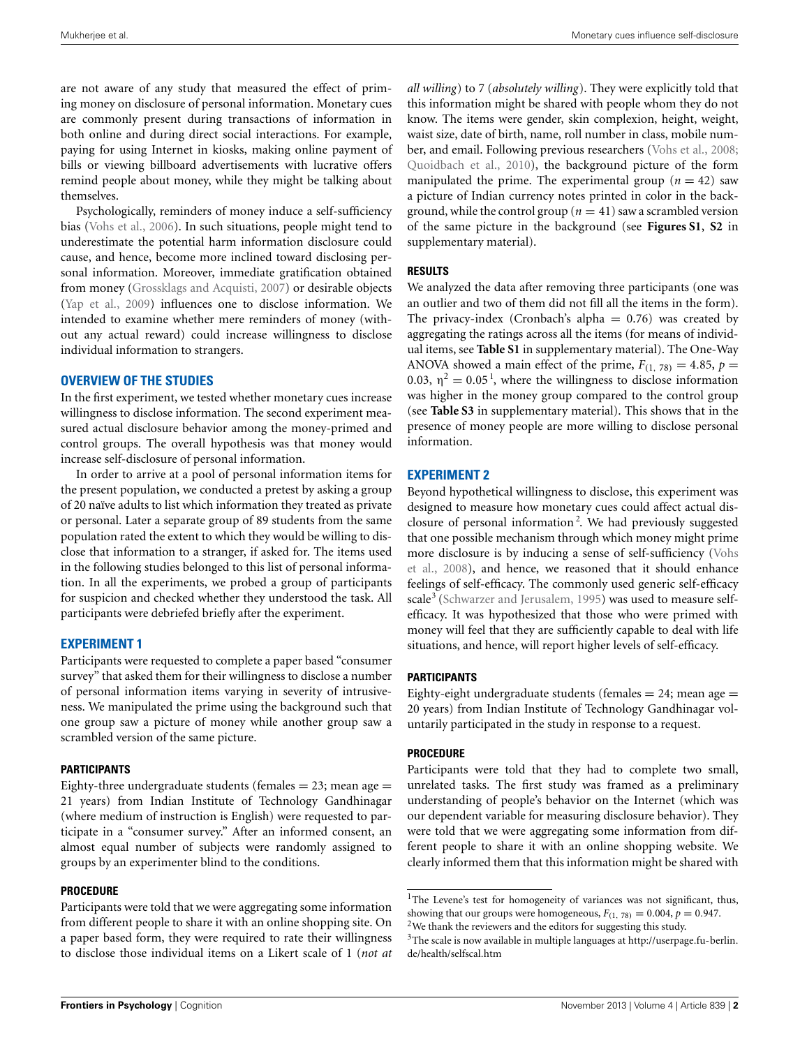are not aware of any study that measured the effect of priming money on disclosure of personal information. Monetary cues are commonly present during transactions of information in both online and during direct social interactions. For example, paying for using Internet in kiosks, making online payment of bills or viewing billboard advertisements with lucrative offers remind people about money, while they might be talking about themselves.

Psychologically, reminders of money induce a self-sufficiency bias (Vohs et al., 2006). In such situations, people might tend to underestimate the potential harm information disclosure could cause, and hence, become more inclined toward disclosing personal information. Moreover, immediate gratification obtained from money (Grossklags and Acquisti, 2007) or desirable objects (Yap et al., 2009) influences one to disclose information. We intended to examine whether mere reminders of money (without any actual reward) could increase willingness to disclose individual information to strangers.

## **OVERVIEW OF THE STUDIES**

In the first experiment, we tested whether monetary cues increase willingness to disclose information. The second experiment measured actual disclosure behavior among the money-primed and control groups. The overall hypothesis was that money would increase self-disclosure of personal information.

In order to arrive at a pool of personal information items for the present population, we conducted a pretest by asking a group of 20 naïve adults to list which information they treated as private or personal. Later a separate group of 89 students from the same population rated the extent to which they would be willing to disclose that information to a stranger, if asked for. The items used in the following studies belonged to this list of personal information. In all the experiments, we probed a group of participants for suspicion and checked whether they understood the task. All participants were debriefed briefly after the experiment.

## **EXPERIMENT 1**

Participants were requested to complete a paper based "consumer survey" that asked them for their willingness to disclose a number of personal information items varying in severity of intrusiveness. We manipulated the prime using the background such that one group saw a picture of money while another group saw a scrambled version of the same picture.

### **PARTICIPANTS**

Eighty-three undergraduate students (females  $= 23$ ; mean age  $=$ 21 years) from Indian Institute of Technology Gandhinagar (where medium of instruction is English) were requested to participate in a "consumer survey." After an informed consent, an almost equal number of subjects were randomly assigned to groups by an experimenter blind to the conditions.

#### **PROCEDURE**

Participants were told that we were aggregating some information from different people to share it with an online shopping site. On a paper based form, they were required to rate their willingness to disclose those individual items on a Likert scale of 1 (*not at* *all willing*) to 7 (*absolutely willing*). They were explicitly told that this information might be shared with people whom they do not know. The items were gender, skin complexion, height, weight, waist size, date of birth, name, roll number in class, mobile number, and email. Following previous researchers (Vohs et al., 2008; Quoidbach et al., 2010), the background picture of the form manipulated the prime. The experimental group  $(n = 42)$  saw a picture of Indian currency notes printed in color in the background, while the control group ( $n = 41$ ) saw a scrambled version of the same picture in the background (see **Figures S1**, **S2** in supplementary material).

#### **RESULTS**

We analyzed the data after removing three participants (one was an outlier and two of them did not fill all the items in the form). The privacy-index (Cronbach's alpha  $= 0.76$ ) was created by aggregating the ratings across all the items (for means of individual items, see **Table S1** in supplementary material). The One-Way ANOVA showed a main effect of the prime,  $F_{(1, 78)} = 4.85$ ,  $p =$ 0.03,  $\eta^2 = 0.05^{\degree}$ , where the willingness to disclose information was higher in the money group compared to the control group (see **Table S3** in supplementary material). This shows that in the presence of money people are more willing to disclose personal information.

#### **EXPERIMENT 2**

Beyond hypothetical willingness to disclose, this experiment was designed to measure how monetary cues could affect actual disclosure of personal information <sup>2</sup> . We had previously suggested that one possible mechanism through which money might prime more disclosure is by inducing a sense of self-sufficiency (Vohs et al., 2008), and hence, we reasoned that it should enhance feelings of self-efficacy. The commonly used generic self-efficacy scale<sup>3</sup> (Schwarzer and Jerusalem, 1995) was used to measure selfefficacy. It was hypothesized that those who were primed with money will feel that they are sufficiently capable to deal with life situations, and hence, will report higher levels of self-efficacy.

#### **PARTICIPANTS**

Eighty-eight undergraduate students (females  $= 24$ ; mean age  $=$ 20 years) from Indian Institute of Technology Gandhinagar voluntarily participated in the study in response to a request.

## **PROCEDURE**

Participants were told that they had to complete two small, unrelated tasks. The first study was framed as a preliminary understanding of people's behavior on the Internet (which was our dependent variable for measuring disclosure behavior). They were told that we were aggregating some information from different people to share it with an online shopping website. We clearly informed them that this information might be shared with

<sup>&</sup>lt;sup>1</sup>The Levene's test for homogeneity of variances was not significant, thus, showing that our groups were homogeneous,  $F_{(1, 78)} = 0.004$ ,  $p = 0.947$ .  $^2\mathrm{We}$  thank the reviewers and the editors for suggesting this study.

<sup>3</sup>The scale is now available in multiple languages at http://userpage.fu-berlin. de/health/selfscal.htm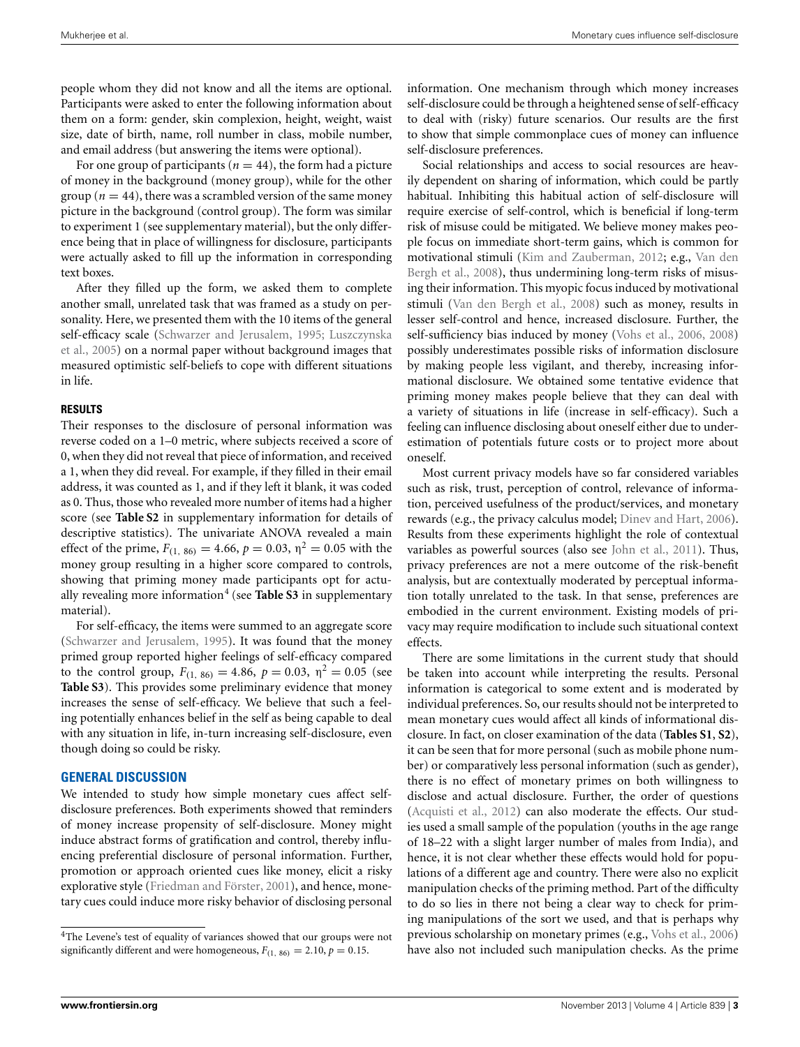people whom they did not know and all the items are optional. Participants were asked to enter the following information about them on a form: gender, skin complexion, height, weight, waist size, date of birth, name, roll number in class, mobile number, and email address (but answering the items were optional).

For one group of participants ( $n = 44$ ), the form had a picture of money in the background (money group), while for the other group ( $n = 44$ ), there was a scrambled version of the same money picture in the background (control group). The form was similar to experiment 1 (see supplementary material), but the only difference being that in place of willingness for disclosure, participants were actually asked to fill up the information in corresponding text boxes.

After they filled up the form, we asked them to complete another small, unrelated task that was framed as a study on personality. Here, we presented them with the 10 items of the general self-efficacy scale (Schwarzer and Jerusalem, 1995; Luszczynska et al., 2005) on a normal paper without background images that measured optimistic self-beliefs to cope with different situations in life.

#### **RESULTS**

Their responses to the disclosure of personal information was reverse coded on a 1–0 metric, where subjects received a score of 0, when they did not reveal that piece of information, and received a 1, when they did reveal. For example, if they filled in their email address, it was counted as 1, and if they left it blank, it was coded as 0. Thus, those who revealed more number of items had a higher score (see **Table S2** in supplementary information for details of descriptive statistics). The univariate ANOVA revealed a main effect of the prime,  $F_{(1, 86)} = 4.66$ ,  $p = 0.03$ ,  $\eta^2 = 0.05$  with the money group resulting in a higher score compared to controls, showing that priming money made participants opt for actually revealing more information<sup>4</sup> (see Table S3 in supplementary material).

For self-efficacy, the items were summed to an aggregate score (Schwarzer and Jerusalem, 1995). It was found that the money primed group reported higher feelings of self-efficacy compared to the control group,  $F_{(1, 86)} = 4.86$ ,  $p = 0.03$ ,  $\eta^2 = 0.05$  (see **Table S3**). This provides some preliminary evidence that money increases the sense of self-efficacy. We believe that such a feeling potentially enhances belief in the self as being capable to deal with any situation in life, in-turn increasing self-disclosure, even though doing so could be risky.

#### **GENERAL DISCUSSION**

We intended to study how simple monetary cues affect selfdisclosure preferences. Both experiments showed that reminders of money increase propensity of self-disclosure. Money might induce abstract forms of gratification and control, thereby influencing preferential disclosure of personal information. Further, promotion or approach oriented cues like money, elicit a risky explorative style (Friedman and Förster, 2001), and hence, monetary cues could induce more risky behavior of disclosing personal information. One mechanism through which money increases self-disclosure could be through a heightened sense of self-efficacy to deal with (risky) future scenarios. Our results are the first to show that simple commonplace cues of money can influence self-disclosure preferences.

Social relationships and access to social resources are heavily dependent on sharing of information, which could be partly habitual. Inhibiting this habitual action of self-disclosure will require exercise of self-control, which is beneficial if long-term risk of misuse could be mitigated. We believe money makes people focus on immediate short-term gains, which is common for motivational stimuli (Kim and Zauberman, 2012; e.g., Van den Bergh et al., 2008), thus undermining long-term risks of misusing their information. This myopic focus induced by motivational stimuli (Van den Bergh et al., 2008) such as money, results in lesser self-control and hence, increased disclosure. Further, the self-sufficiency bias induced by money (Vohs et al., 2006, 2008) possibly underestimates possible risks of information disclosure by making people less vigilant, and thereby, increasing informational disclosure. We obtained some tentative evidence that priming money makes people believe that they can deal with a variety of situations in life (increase in self-efficacy). Such a feeling can influence disclosing about oneself either due to underestimation of potentials future costs or to project more about oneself.

Most current privacy models have so far considered variables such as risk, trust, perception of control, relevance of information, perceived usefulness of the product/services, and monetary rewards (e.g., the privacy calculus model; Dinev and Hart, 2006). Results from these experiments highlight the role of contextual variables as powerful sources (also see John et al., 2011). Thus, privacy preferences are not a mere outcome of the risk-benefit analysis, but are contextually moderated by perceptual information totally unrelated to the task. In that sense, preferences are embodied in the current environment. Existing models of privacy may require modification to include such situational context effects.

There are some limitations in the current study that should be taken into account while interpreting the results. Personal information is categorical to some extent and is moderated by individual preferences. So, our results should not be interpreted to mean monetary cues would affect all kinds of informational disclosure. In fact, on closer examination of the data (**Tables S1**, **S2**), it can be seen that for more personal (such as mobile phone number) or comparatively less personal information (such as gender), there is no effect of monetary primes on both willingness to disclose and actual disclosure. Further, the order of questions (Acquisti et al., 2012) can also moderate the effects. Our studies used a small sample of the population (youths in the age range of 18–22 with a slight larger number of males from India), and hence, it is not clear whether these effects would hold for populations of a different age and country. There were also no explicit manipulation checks of the priming method. Part of the difficulty to do so lies in there not being a clear way to check for priming manipulations of the sort we used, and that is perhaps why previous scholarship on monetary primes (e.g., Vohs et al., 2006) have also not included such manipulation checks. As the prime

<sup>4</sup>The Levene's test of equality of variances showed that our groups were not significantly different and were homogeneous,  $F_{(1, 86)} = 2.10$ ,  $p = 0.15$ .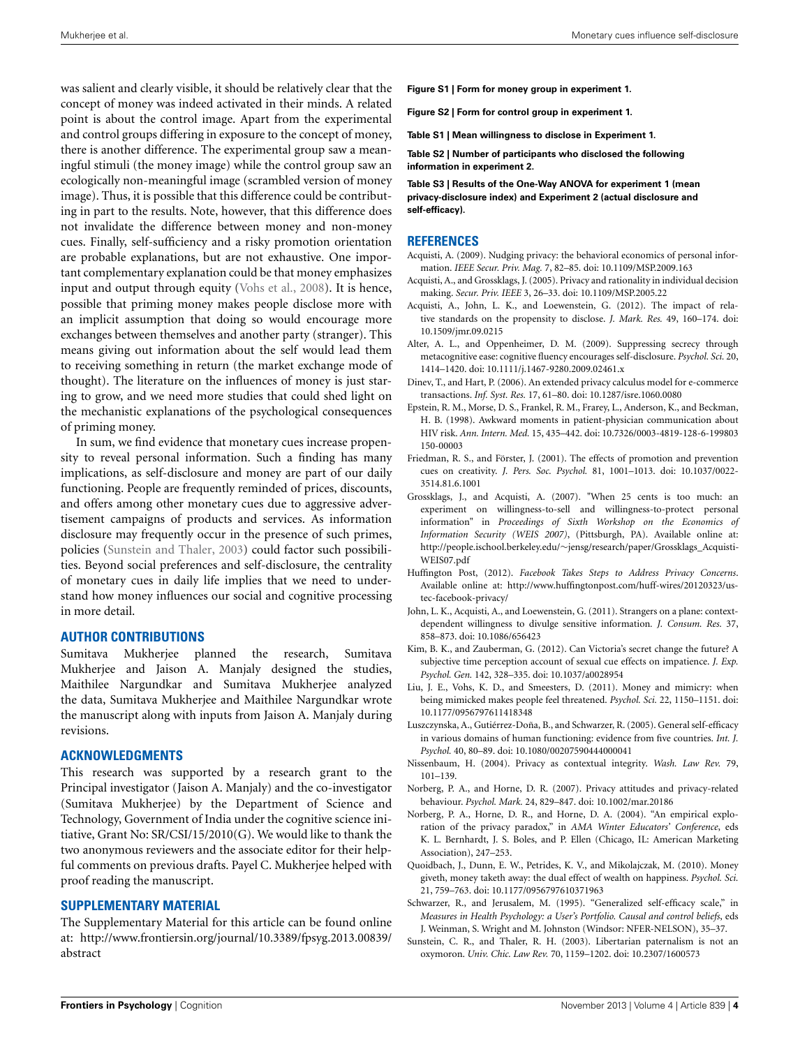was salient and clearly visible, it should be relatively clear that the concept of money was indeed activated in their minds. A related point is about the control image. Apart from the experimental and control groups differing in exposure to the concept of money, there is another difference. The experimental group saw a meaningful stimuli (the money image) while the control group saw an ecologically non-meaningful image (scrambled version of money image). Thus, it is possible that this difference could be contributing in part to the results. Note, however, that this difference does not invalidate the difference between money and non-money cues. Finally, self-sufficiency and a risky promotion orientation are probable explanations, but are not exhaustive. One important complementary explanation could be that money emphasizes input and output through equity (Vohs et al., 2008). It is hence, possible that priming money makes people disclose more with an implicit assumption that doing so would encourage more exchanges between themselves and another party (stranger). This means giving out information about the self would lead them to receiving something in return (the market exchange mode of thought). The literature on the influences of money is just staring to grow, and we need more studies that could shed light on the mechanistic explanations of the psychological consequences of priming money.

In sum, we find evidence that monetary cues increase propensity to reveal personal information. Such a finding has many implications, as self-disclosure and money are part of our daily functioning. People are frequently reminded of prices, discounts, and offers among other monetary cues due to aggressive advertisement campaigns of products and services. As information disclosure may frequently occur in the presence of such primes, policies (Sunstein and Thaler, 2003) could factor such possibilities. Beyond social preferences and self-disclosure, the centrality of monetary cues in daily life implies that we need to understand how money influences our social and cognitive processing in more detail.

## **AUTHOR CONTRIBUTIONS**

Sumitava Mukherjee planned the research, Sumitava Mukherjee and Jaison A. Manjaly designed the studies, Maithilee Nargundkar and Sumitava Mukherjee analyzed the data, Sumitava Mukherjee and Maithilee Nargundkar wrote the manuscript along with inputs from Jaison A. Manjaly during revisions.

#### **ACKNOWLEDGMENTS**

This research was supported by a research grant to the Principal investigator (Jaison A. Manjaly) and the co-investigator (Sumitava Mukherjee) by the Department of Science and Technology, Government of India under the cognitive science initiative, Grant No: SR/CSI/15/2010(G). We would like to thank the two anonymous reviewers and the associate editor for their helpful comments on previous drafts. Payel C. Mukherjee helped with proof reading the manuscript.

## **SUPPLEMENTARY MATERIAL**

The Supplementary Material for this article can be found online at: http://www.frontiersin.org/journal/10.3389/fpsyg.2013.00839/ abstract

- **Figure S1 | Form for money group in experiment 1.**
- **Figure S2 | Form for control group in experiment 1.**
- **Table S1 | Mean willingness to disclose in Experiment 1.**

**Table S2 | Number of participants who disclosed the following information in experiment 2.**

**Table S3 | Results of the One-Way ANOVA for experiment 1 (mean privacy-disclosure index) and Experiment 2 (actual disclosure and self-efficacy).**

#### **REFERENCES**

- Acquisti, A. (2009). Nudging privacy: the behavioral economics of personal information. *IEEE Secur. Priv. Mag.* 7, 82–85. doi: 10.1109/MSP.2009.163
- Acquisti, A., and Grossklags, J. (2005). Privacy and rationality in individual decision making. *Secur. Priv. IEEE* 3, 26–33. doi: 10.1109/MSP.2005.22
- Acquisti, A., John, L. K., and Loewenstein, G. (2012). The impact of relative standards on the propensity to disclose. *J. Mark. Res.* 49, 160–174. doi: 10.1509/jmr.09.0215
- Alter, A. L., and Oppenheimer, D. M. (2009). Suppressing secrecy through metacognitive ease: cognitive fluency encourages self-disclosure. *Psychol. Sci.* 20, 1414–1420. doi: 10.1111/j.1467-9280.2009.02461.x
- Dinev, T., and Hart, P. (2006). An extended privacy calculus model for e-commerce transactions. *Inf. Syst. Res.* 17, 61–80. doi: 10.1287/isre.1060.0080
- Epstein, R. M., Morse, D. S., Frankel, R. M., Frarey, L., Anderson, K., and Beckman, H. B. (1998). Awkward moments in patient-physician communication about HIV risk. *Ann. Intern. Med.* 15, 435–442. doi: 10.7326/0003-4819-128-6-199803 150-00003
- Friedman, R. S., and Förster, J. (2001). The effects of promotion and prevention cues on creativity. *J. Pers. Soc. Psychol.* 81, 1001–1013. doi: 10.1037/0022- 3514.81.6.1001
- Grossklags, J., and Acquisti, A. (2007). "When 25 cents is too much: an experiment on willingness-to-sell and willingness-to-protect personal information" in *Proceedings of Sixth Workshop on the Economics of Information Security (WEIS 2007)*, (Pittsburgh, PA). Available online at: http://people.ischool.berkeley.edu/∼jensg/research/paper/Grossklags\_Acquisti-WEIS07.pdf
- Huffington Post, (2012). *Facebook Takes Steps to Address Privacy Concerns*. Available online at: http://www.huffingtonpost.com/huff-wires/20120323/ustec-facebook-privacy/
- John, L. K., Acquisti, A., and Loewenstein, G. (2011). Strangers on a plane: contextdependent willingness to divulge sensitive information*. J. Consum. Res.* 37, 858–873. doi: 10.1086/656423
- Kim, B. K., and Zauberman, G. (2012). Can Victoria's secret change the future? A subjective time perception account of sexual cue effects on impatience. *J. Exp. Psychol. Gen.* 142, 328–335. doi: 10.1037/a0028954
- Liu, J. E., Vohs, K. D., and Smeesters, D. (2011). Money and mimicry: when being mimicked makes people feel threatened. *Psychol. Sci.* 22, 1150–1151. doi: 10.1177/0956797611418348
- Luszczynska, A., Gutiérrez-Doña, B., and Schwarzer, R. (2005). General self-efficacy in various domains of human functioning: evidence from five countries. *Int. J. Psychol.* 40, 80–89. doi: 10.1080/00207590444000041
- Nissenbaum, H. (2004). Privacy as contextual integrity. *Wash. Law Rev.* 79, 101–139.
- Norberg, P. A., and Horne, D. R. (2007). Privacy attitudes and privacy-related behaviour. *Psychol. Mark.* 24, 829–847. doi: 10.1002/mar.20186
- Norberg, P. A., Horne, D. R., and Horne, D. A. (2004). "An empirical exploration of the privacy paradox," in *AMA Winter Educators' Conference*, eds K. L. Bernhardt, J. S. Boles, and P. Ellen (Chicago, IL: American Marketing Association), 247–253.
- Quoidbach, J., Dunn, E. W., Petrides, K. V., and Mikolajczak, M. (2010). Money giveth, money taketh away: the dual effect of wealth on happiness. *Psychol. Sci.* 21, 759–763. doi: 10.1177/0956797610371963
- Schwarzer, R., and Jerusalem, M. (1995). "Generalized self-efficacy scale," in *Measures in Health Psychology: a User's Portfolio. Causal and control beliefs*, eds J. Weinman, S. Wright and M. Johnston (Windsor: NFER-NELSON), 35–37.
- Sunstein, C. R., and Thaler, R. H. (2003). Libertarian paternalism is not an oxymoron. *Univ. Chic. Law Rev.* 70, 1159–1202. doi: 10.2307/1600573